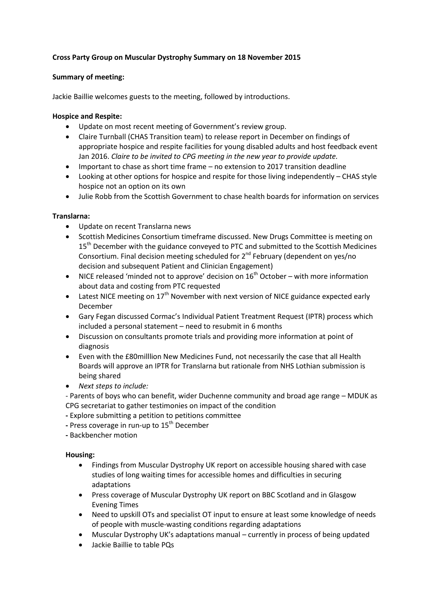# **Cross Party Group on Muscular Dystrophy Summary on 18 November 2015**

### **Summary of meeting:**

Jackie Baillie welcomes guests to the meeting, followed by introductions.

#### **Hospice and Respite:**

- Update on most recent meeting of Government's review group.
- Claire Turnball (CHAS Transition team) to release report in December on findings of appropriate hospice and respite facilities for young disabled adults and host feedback event Jan 2016. *Claire to be invited to CPG meeting in the new year to provide update.*
- Important to chase as short time frame no extension to 2017 transition deadline
- Looking at other options for hospice and respite for those living independently CHAS style hospice not an option on its own
- Julie Robb from the Scottish Government to chase health boards for information on services

## **Translarna:**

- Update on recent Translarna news
- Scottish Medicines Consortium timeframe discussed. New Drugs Committee is meeting on 15<sup>th</sup> December with the guidance conveyed to PTC and submitted to the Scottish Medicines Consortium. Final decision meeting scheduled for 2<sup>nd</sup> February (dependent on yes/no decision and subsequent Patient and Clinician Engagement)
- NICE released 'minded not to approve' decision on  $16<sup>th</sup>$  October with more information about data and costing from PTC requested
- **•** Latest NICE meeting on  $17<sup>th</sup>$  November with next version of NICE guidance expected early December
- Gary Fegan discussed Cormac's Individual Patient Treatment Request (IPTR) process which included a personal statement – need to resubmit in 6 months
- Discussion on consultants promote trials and providing more information at point of diagnosis
- Even with the £80milllion New Medicines Fund, not necessarily the case that all Health Boards will approve an IPTR for Translarna but rationale from NHS Lothian submission is being shared
- *Next steps to include:*

- Parents of boys who can benefit, wider Duchenne community and broad age range – MDUK as CPG secretariat to gather testimonies on impact of the condition

- **-** Explore submitting a petition to petitions committee
- **-** Press coverage in run-up to 15th December
- **-** Backbencher motion

## **Housing:**

- Findings from Muscular Dystrophy UK report on accessible housing shared with case studies of long waiting times for accessible homes and difficulties in securing adaptations
- Press coverage of Muscular Dystrophy UK report on BBC Scotland and in Glasgow Evening Times
- Need to upskill OTs and specialist OT input to ensure at least some knowledge of needs of people with muscle-wasting conditions regarding adaptations
- Muscular Dystrophy UK's adaptations manual currently in process of being updated
- Jackie Baillie to table PQs